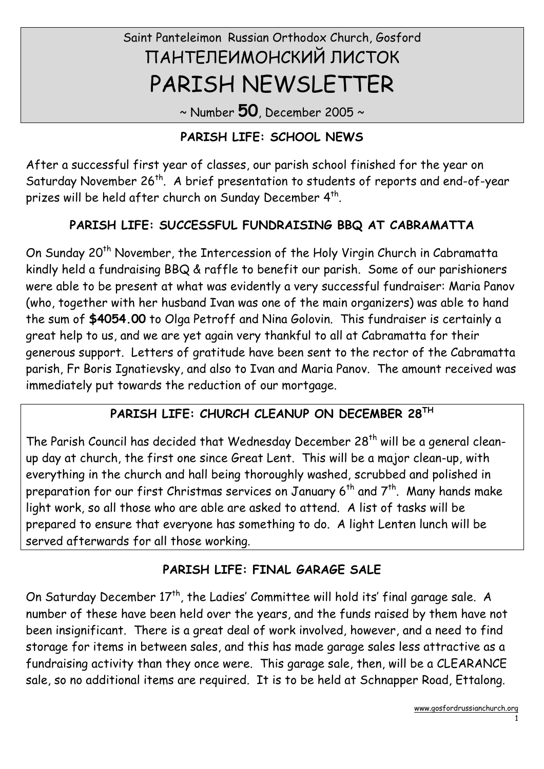# Saint Panteleimon Russian Orthodox Church, Gosford ПАНТЕЛЕИМОНСКИЙ ЛИСТОК PARISH NEWSLETTER

 $\sim$  Number 50, December 2005  $\sim$ 

# PARISH LIFE: SCHOOL NEWS

After a successful first year of classes, our parish school finished for the year on Saturday November 26<sup>th</sup>. A brief presentation to students of reports and end-of-year prizes will be held after church on Sunday December  $4^{\text{th}}$ .

# PARISH LIFE: SUCCESSFUL FUNDRAISING BBQ AT CABRAMATTA

On Sunday 20<sup>th</sup> November, the Intercession of the Holy Virgin Church in Cabramatta kindly held a fundraising BBQ & raffle to benefit our parish. Some of our parishioners were able to be present at what was evidently a very successful fundraiser: Maria Panov (who, together with her husband Ivan was one of the main organizers) was able to hand the sum of \$4054.00 to Olga Petroff and Nina Golovin. This fundraiser is certainly a great help to us, and we are yet again very thankful to all at Cabramatta for their generous support. Letters of gratitude have been sent to the rector of the Cabramatta parish, Fr Boris Ignatievsky, and also to Ivan and Maria Panov. The amount received was immediately put towards the reduction of our mortgage.

# PARISH LIFE: CHURCH CLEANUP ON DECEMBER 28TH

The Parish Council has decided that Wednesday December  $28<sup>th</sup>$  will be a general cleanup day at church, the first one since Great Lent. This will be a major clean-up, with everything in the church and hall being thoroughly washed, scrubbed and polished in preparation for our first Christmas services on January 6<sup>th</sup> and 7<sup>th</sup>. Many hands make light work, so all those who are able are asked to attend. A list of tasks will be prepared to ensure that everyone has something to do. A light Lenten lunch will be served afterwards for all those working.

# PARISH LIFE: FINAL GARAGE SALE

On Saturday December  $17<sup>th</sup>$ , the Ladies' Committee will hold its' final garage sale. A number of these have been held over the years, and the funds raised by them have not been insignificant. There is a great deal of work involved, however, and a need to find storage for items in between sales, and this has made garage sales less attractive as a fundraising activity than they once were. This garage sale, then, will be a CLEARANCE sale, so no additional items are required. It is to be held at Schnapper Road, Ettalong.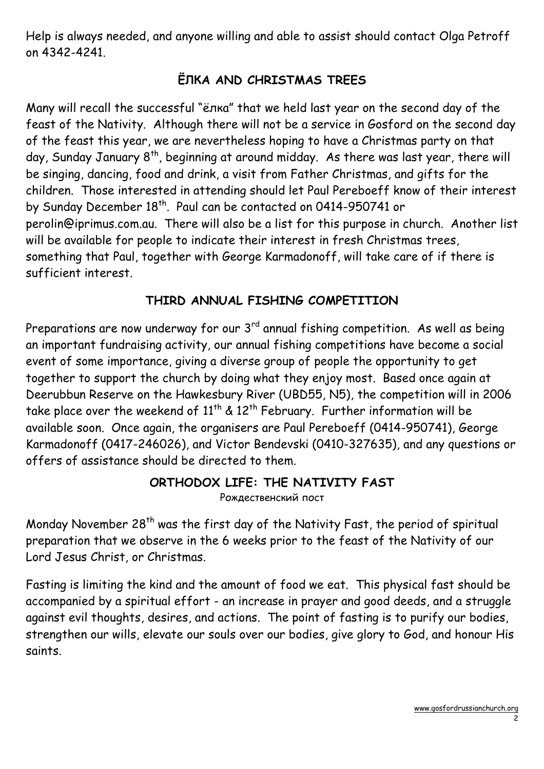Help is always needed, and anyone willing and able to assist should contact Olga Petroff on 4342-4241.

# ЁЛКА AND CHRISTMAS TREES

Many will recall the successful "ёлка" that we held last year on the second day of the feast of the Nativity. Although there will not be a service in Gosford on the second day of the feast this year, we are nevertheless hoping to have a Christmas party on that day, Sunday January 8<sup>th</sup>, beginning at around midday. As there was last year, there will be singing, dancing, food and drink, a visit from Father Christmas, and gifts for the children. Those interested in attending should let Paul Pereboeff know of their interest by Sunday December 18<sup>th</sup>. Paul can be contacted on 0414-950741 or perolin@iprimus.com.au. There will also be a list for this purpose in church. Another list will be available for people to indicate their interest in fresh Christmas trees, something that Paul, together with George Karmadonoff, will take care of if there is sufficient interest.

# THIRD ANNUAL FISHING COMPETITION

Preparations are now underway for our 3<sup>rd</sup> annual fishing competition. As well as being an important fundraising activity, our annual fishing competitions have become a social event of some importance, giving a diverse group of people the opportunity to get together to support the church by doing what they enjoy most. Based once again at Deerubbun Reserve on the Hawkesbury River (UBD55, N5), the competition will in 2006 take place over the weekend of  $11^{th}$  &  $12^{th}$  February. Further information will be available soon. Once again, the organisers are Paul Pereboeff (0414-950741), George Karmadonoff (0417-246026), and Victor Bendevski (0410-327635), and any questions or offers of assistance should be directed to them.

# ORTHODOX LIFE: THE NATIVITY FAST

Рождественский пост

Monday November 28<sup>th</sup> was the first day of the Nativity Fast, the period of spiritual preparation that we observe in the 6 weeks prior to the feast of the Nativity of our Lord Jesus Christ, or Christmas.

Fasting is limiting the kind and the amount of food we eat. This physical fast should be accompanied by a spiritual effort - an increase in prayer and good deeds, and a struggle against evil thoughts, desires, and actions. The point of fasting is to purify our bodies, strengthen our wills, elevate our souls over our bodies, give glory to God, and honour His saints.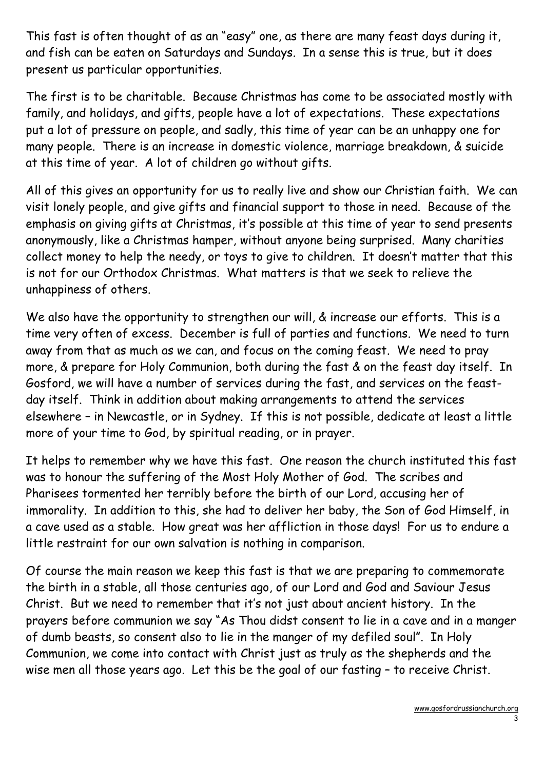This fast is often thought of as an "easy" one, as there are many feast days during it, and fish can be eaten on Saturdays and Sundays. In a sense this is true, but it does present us particular opportunities.

The first is to be charitable. Because Christmas has come to be associated mostly with family, and holidays, and gifts, people have a lot of expectations. These expectations put a lot of pressure on people, and sadly, this time of year can be an unhappy one for many people. There is an increase in domestic violence, marriage breakdown, & suicide at this time of year. A lot of children go without gifts.

All of this gives an opportunity for us to really live and show our Christian faith. We can visit lonely people, and give gifts and financial support to those in need. Because of the emphasis on giving gifts at Christmas, it's possible at this time of year to send presents anonymously, like a Christmas hamper, without anyone being surprised. Many charities collect money to help the needy, or toys to give to children. It doesn't matter that this is not for our Orthodox Christmas. What matters is that we seek to relieve the unhappiness of others.

We also have the opportunity to strengthen our will, & increase our efforts. This is a time very often of excess. December is full of parties and functions. We need to turn away from that as much as we can, and focus on the coming feast. We need to pray more, & prepare for Holy Communion, both during the fast & on the feast day itself. In Gosford, we will have a number of services during the fast, and services on the feastday itself. Think in addition about making arrangements to attend the services elsewhere – in Newcastle, or in Sydney. If this is not possible, dedicate at least a little more of your time to God, by spiritual reading, or in prayer.

It helps to remember why we have this fast. One reason the church instituted this fast was to honour the suffering of the Most Holy Mother of God. The scribes and Pharisees tormented her terribly before the birth of our Lord, accusing her of immorality. In addition to this, she had to deliver her baby, the Son of God Himself, in a cave used as a stable. How great was her affliction in those days! For us to endure a little restraint for our own salvation is nothing in comparison.

Of course the main reason we keep this fast is that we are preparing to commemorate the birth in a stable, all those centuries ago, of our Lord and God and Saviour Jesus Christ. But we need to remember that it's not just about ancient history. In the prayers before communion we say "As Thou didst consent to lie in a cave and in a manger of dumb beasts, so consent also to lie in the manger of my defiled soul". In Holy Communion, we come into contact with Christ just as truly as the shepherds and the wise men all those years ago. Let this be the goal of our fasting – to receive Christ.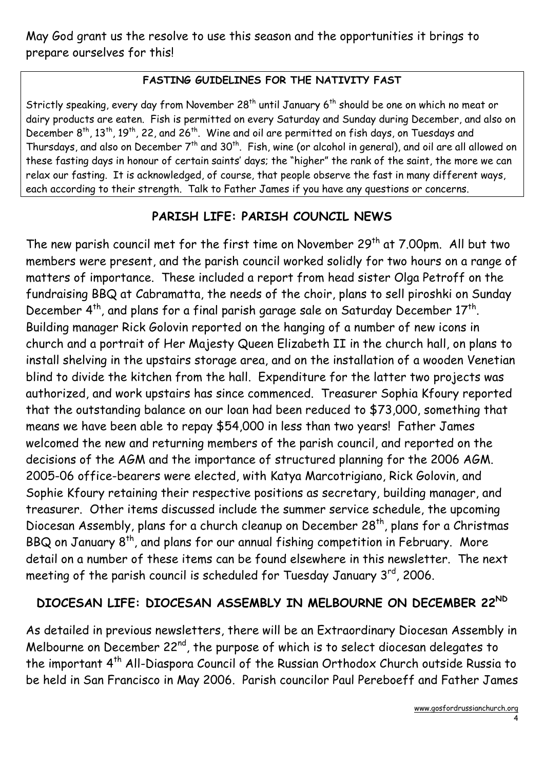May God grant us the resolve to use this season and the opportunities it brings to prepare ourselves for this!

#### FASTING GUIDELINES FOR THE NATIVITY FAST

Strictly speaking, every day from November  $28<sup>th</sup>$  until January 6<sup>th</sup> should be one on which no meat or dairy products are eaten. Fish is permitted on every Saturday and Sunday during December, and also on December 8<sup>th</sup>, 13<sup>th</sup>, 19<sup>th</sup>, 22, and 26<sup>th</sup>. Wine and oil are permitted on fish days, on Tuesdays and Thursdays, and also on December 7<sup>th</sup> and 30<sup>th</sup>. Fish, wine (or alcohol in general), and oil are all allowed on these fasting days in honour of certain saints' days; the "higher" the rank of the saint, the more we can relax our fasting. It is acknowledged, of course, that people observe the fast in many different ways, each according to their strength. Talk to Father James if you have any questions or concerns.

# PARISH LIFE: PARISH COUNCIL NEWS

The new parish council met for the first time on November  $29<sup>th</sup>$  at  $7.00$ pm. All but two members were present, and the parish council worked solidly for two hours on a range of matters of importance. These included a report from head sister Olga Petroff on the fundraising BBQ at Cabramatta, the needs of the choir, plans to sell piroshki on Sunday December  $4^{th}$ , and plans for a final parish garage sale on Saturday December  $17^{th}$ . Building manager Rick Golovin reported on the hanging of a number of new icons in church and a portrait of Her Majesty Queen Elizabeth II in the church hall, on plans to install shelving in the upstairs storage area, and on the installation of a wooden Venetian blind to divide the kitchen from the hall. Expenditure for the latter two projects was authorized, and work upstairs has since commenced. Treasurer Sophia Kfoury reported that the outstanding balance on our loan had been reduced to \$73,000, something that means we have been able to repay \$54,000 in less than two years! Father James welcomed the new and returning members of the parish council, and reported on the decisions of the AGM and the importance of structured planning for the 2006 AGM. 2005-06 office-bearers were elected, with Katya Marcotrigiano, Rick Golovin, and Sophie Kfoury retaining their respective positions as secretary, building manager, and treasurer. Other items discussed include the summer service schedule, the upcoming Diocesan Assembly, plans for a church cleanup on December 28<sup>th</sup>, plans for a Christmas BBQ on January  $8^{th}$ , and plans for our annual fishing competition in February. More detail on a number of these items can be found elsewhere in this newsletter. The next meeting of the parish council is scheduled for Tuesday January  $3<sup>rd</sup>$ , 2006.

# DIOCESAN LIFE: DIOCESAN ASSEMBLY IN MELBOURNE ON DECEMBER 22ND

As detailed in previous newsletters, there will be an Extraordinary Diocesan Assembly in Melbourne on December 22<sup>nd</sup>, the purpose of which is to select diocesan delegates to the important 4th All-Diaspora Council of the Russian Orthodox Church outside Russia to be held in San Francisco in May 2006. Parish councilor Paul Pereboeff and Father James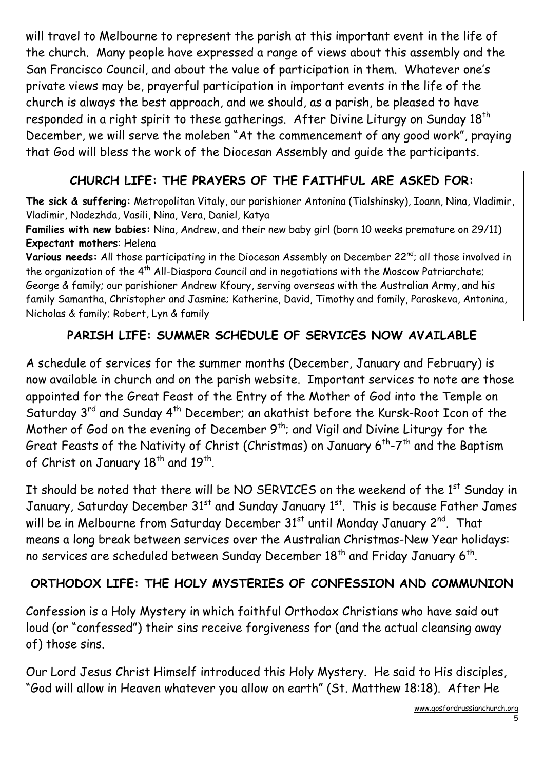will travel to Melbourne to represent the parish at this important event in the life of the church. Many people have expressed a range of views about this assembly and the San Francisco Council, and about the value of participation in them. Whatever one's private views may be, prayerful participation in important events in the life of the church is always the best approach, and we should, as a parish, be pleased to have responded in a right spirit to these gatherings. After Divine Liturgy on Sunday 18<sup>th</sup> December, we will serve the moleben "At the commencement of any good work", praying that God will bless the work of the Diocesan Assembly and guide the participants.

# CHURCH LIFE: THE PRAYERS OF THE FAITHFUL ARE ASKED FOR:

The sick & suffering: Metropolitan Vitaly, our parishioner Antonina (Tialshinsky), Ioann, Nina, Vladimir, Vladimir, Nadezhda, Vasili, Nina, Vera, Daniel, Katya

Families with new babies: Nina, Andrew, and their new baby girl (born 10 weeks premature on 29/11) Expectant mothers: Helena

Various needs: All those participating in the Diocesan Assembly on December 22<sup>nd</sup>; all those involved in the organization of the  $4<sup>th</sup>$  All-Diaspora Council and in negotiations with the Moscow Patriarchate; George & family; our parishioner Andrew Kfoury, serving overseas with the Australian Army, and his family Samantha, Christopher and Jasmine; Katherine, David, Timothy and family, Paraskeva, Antonina, Nicholas & family; Robert, Lyn & family

#### PARISH LIFE: SUMMER SCHEDULE OF SERVICES NOW AVAILABLE

A schedule of services for the summer months (December, January and February) is now available in church and on the parish website. Important services to note are those appointed for the Great Feast of the Entry of the Mother of God into the Temple on Saturday 3<sup>rd</sup> and Sunday 4<sup>th</sup> December; an akathist before the Kursk-Root Icon of the Mother of God on the evening of December  $9<sup>th</sup>$ ; and Vigil and Divine Liturgy for the Great Feasts of the Nativity of Christ (Christmas) on January  $6^{th}$ -7<sup>th</sup> and the Baptism of Christ on January 18<sup>th</sup> and 19<sup>th</sup>.

It should be noted that there will be NO SERVICES on the weekend of the 1<sup>st</sup> Sunday in January, Saturday December 31<sup>st</sup> and Sunday January 1<sup>st</sup>. This is because Father James will be in Melbourne from Saturday December 31<sup>st</sup> until Monday January 2<sup>nd</sup>. That means a long break between services over the Australian Christmas-New Year holidays: no services are scheduled between Sunday December  $18^{\mathsf{th}}$  and Friday January 6 $^{\mathsf{th}}$ .

#### ORTHODOX LIFE: THE HOLY MYSTERIES OF CONFESSION AND COMMUNION

Confession is a Holy Mystery in which faithful Orthodox Christians who have said out loud (or "confessed") their sins receive forgiveness for (and the actual cleansing away of) those sins.

Our Lord Jesus Christ Himself introduced this Holy Mystery. He said to His disciples, "God will allow in Heaven whatever you allow on earth" (St. Matthew 18:18). After He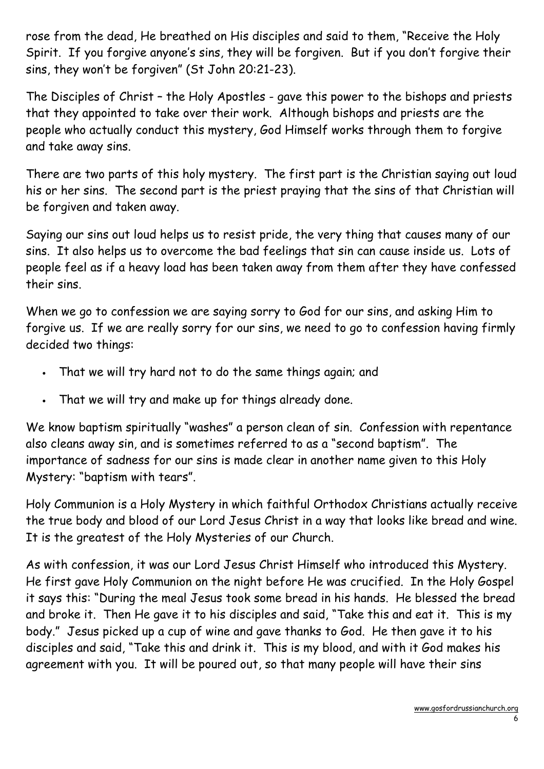rose from the dead, He breathed on His disciples and said to them, "Receive the Holy Spirit. If you forgive anyone's sins, they will be forgiven. But if you don't forgive their sins, they won't be forgiven" (St John 20:21-23).

The Disciples of Christ – the Holy Apostles - gave this power to the bishops and priests that they appointed to take over their work. Although bishops and priests are the people who actually conduct this mystery, God Himself works through them to forgive and take away sins.

There are two parts of this holy mystery. The first part is the Christian saying out loud his or her sins. The second part is the priest praying that the sins of that Christian will be forgiven and taken away.

Saying our sins out loud helps us to resist pride, the very thing that causes many of our sins. It also helps us to overcome the bad feelings that sin can cause inside us. Lots of people feel as if a heavy load has been taken away from them after they have confessed their sins.

When we go to confession we are saying sorry to God for our sins, and asking Him to forgive us. If we are really sorry for our sins, we need to go to confession having firmly decided two things:

- That we will try hard not to do the same things again; and
- That we will try and make up for things already done.

We know baptism spiritually "washes" a person clean of sin. Confession with repentance also cleans away sin, and is sometimes referred to as a "second baptism". The importance of sadness for our sins is made clear in another name given to this Holy Mystery: "baptism with tears".

Holy Communion is a Holy Mystery in which faithful Orthodox Christians actually receive the true body and blood of our Lord Jesus Christ in a way that looks like bread and wine. It is the greatest of the Holy Mysteries of our Church.

As with confession, it was our Lord Jesus Christ Himself who introduced this Mystery. He first gave Holy Communion on the night before He was crucified. In the Holy Gospel it says this: "During the meal Jesus took some bread in his hands. He blessed the bread and broke it. Then He gave it to his disciples and said, "Take this and eat it. This is my body." Jesus picked up a cup of wine and gave thanks to God. He then gave it to his disciples and said, "Take this and drink it. This is my blood, and with it God makes his agreement with you. It will be poured out, so that many people will have their sins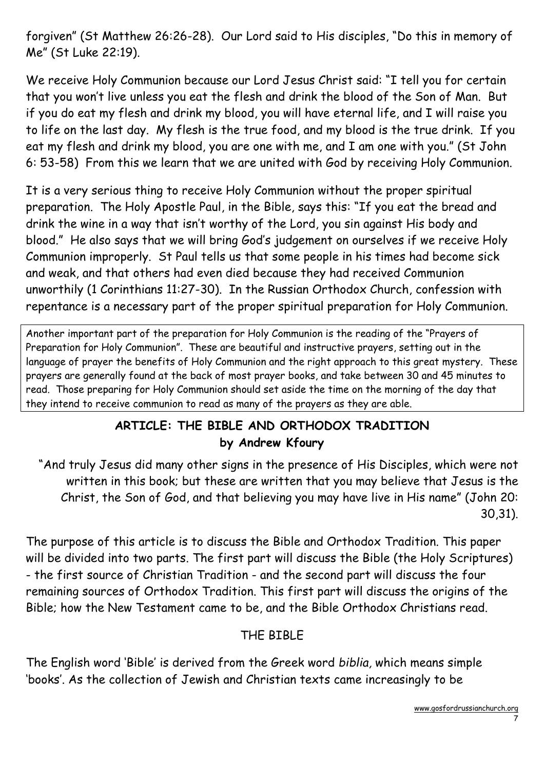forgiven" (St Matthew 26:26-28). Our Lord said to His disciples, "Do this in memory of Me" (St Luke 22:19).

We receive Holy Communion because our Lord Jesus Christ said: "I tell you for certain that you won't live unless you eat the flesh and drink the blood of the Son of Man. But if you do eat my flesh and drink my blood, you will have eternal life, and I will raise you to life on the last day. My flesh is the true food, and my blood is the true drink. If you eat my flesh and drink my blood, you are one with me, and I am one with you." (St John 6: 53-58) From this we learn that we are united with God by receiving Holy Communion.

It is a very serious thing to receive Holy Communion without the proper spiritual preparation. The Holy Apostle Paul, in the Bible, says this: "If you eat the bread and drink the wine in a way that isn't worthy of the Lord, you sin against His body and blood." He also says that we will bring God's judgement on ourselves if we receive Holy Communion improperly. St Paul tells us that some people in his times had become sick and weak, and that others had even died because they had received Communion unworthily (1 Corinthians 11:27-30). In the Russian Orthodox Church, confession with repentance is a necessary part of the proper spiritual preparation for Holy Communion.

Another important part of the preparation for Holy Communion is the reading of the "Prayers of Preparation for Holy Communion". These are beautiful and instructive prayers, setting out in the language of prayer the benefits of Holy Communion and the right approach to this great mystery. These prayers are generally found at the back of most prayer books, and take between 30 and 45 minutes to read. Those preparing for Holy Communion should set aside the time on the morning of the day that they intend to receive communion to read as many of the prayers as they are able.

#### ARTICLE: THE BIBLE AND ORTHODOX TRADITION by Andrew Kfoury

 "And truly Jesus did many other signs in the presence of His Disciples, which were not written in this book; but these are written that you may believe that Jesus is the Christ, the Son of God, and that believing you may have live in His name" (John 20: 30,31).

The purpose of this article is to discuss the Bible and Orthodox Tradition. This paper will be divided into two parts. The first part will discuss the Bible (the Holy Scriptures) - the first source of Christian Tradition - and the second part will discuss the four remaining sources of Orthodox Tradition. This first part will discuss the origins of the Bible; how the New Testament came to be, and the Bible Orthodox Christians read.

#### THE BIBLE

The English word 'Bible' is derived from the Greek word biblia, which means simple 'books'. As the collection of Jewish and Christian texts came increasingly to be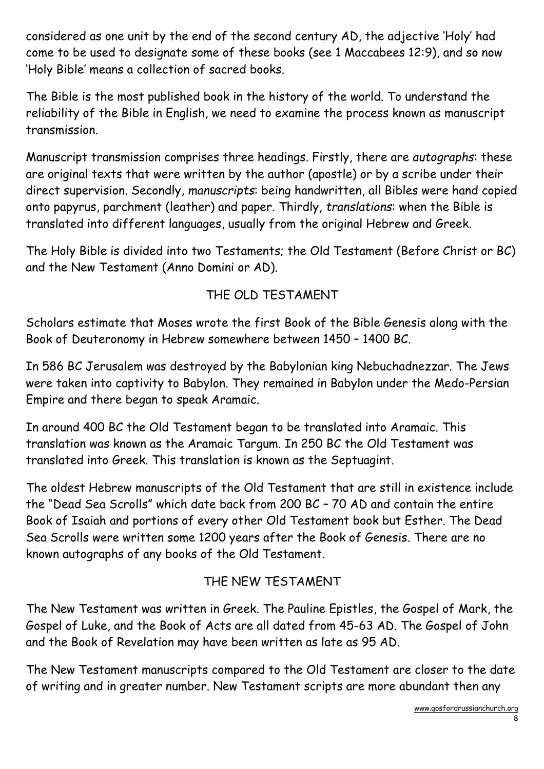considered as one unit by the end of the second century AD, the adjective 'Holy' had come to be used to designate some of these books (see 1 Maccabees 12:9), and so now 'Holy Bible' means a collection of sacred books.

The Bible is the most published book in the history of the world. To understand the reliability of the Bible in English, we need to examine the process known as manuscript transmission.

Manuscript transmission comprises three headings. Firstly, there are autographs: these are original texts that were written by the author (apostle) or by a scribe under their direct supervision. Secondly, manuscripts: being handwritten, all Bibles were hand copied onto papyrus, parchment (leather) and paper. Thirdly, translations: when the Bible is translated into different languages, usually from the original Hebrew and Greek.

The Holy Bible is divided into two Testaments; the Old Testament (Before Christ or BC) and the New Testament (Anno Domini or AD).

# THE OLD TESTAMENT

Scholars estimate that Moses wrote the first Book of the Bible Genesis along with the Book of Deuteronomy in Hebrew somewhere between 1450 – 1400 BC.

In 586 BC Jerusalem was destroyed by the Babylonian king Nebuchadnezzar. The Jews were taken into captivity to Babylon. They remained in Babylon under the Medo-Persian Empire and there began to speak Aramaic.

In around 400 BC the Old Testament began to be translated into Aramaic. This translation was known as the Aramaic Targum. In 250 BC the Old Testament was translated into Greek. This translation is known as the Septuagint.

The oldest Hebrew manuscripts of the Old Testament that are still in existence include the "Dead Sea Scrolls" which date back from 200 BC – 70 AD and contain the entire Book of Isaiah and portions of every other Old Testament book but Esther. The Dead Sea Scrolls were written some 1200 years after the Book of Genesis. There are no known autographs of any books of the Old Testament.

# THE NEW TESTAMENT

The New Testament was written in Greek. The Pauline Epistles, the Gospel of Mark, the Gospel of Luke, and the Book of Acts are all dated from 45-63 AD. The Gospel of John and the Book of Revelation may have been written as late as 95 AD.

The New Testament manuscripts compared to the Old Testament are closer to the date of writing and in greater number. New Testament scripts are more abundant then any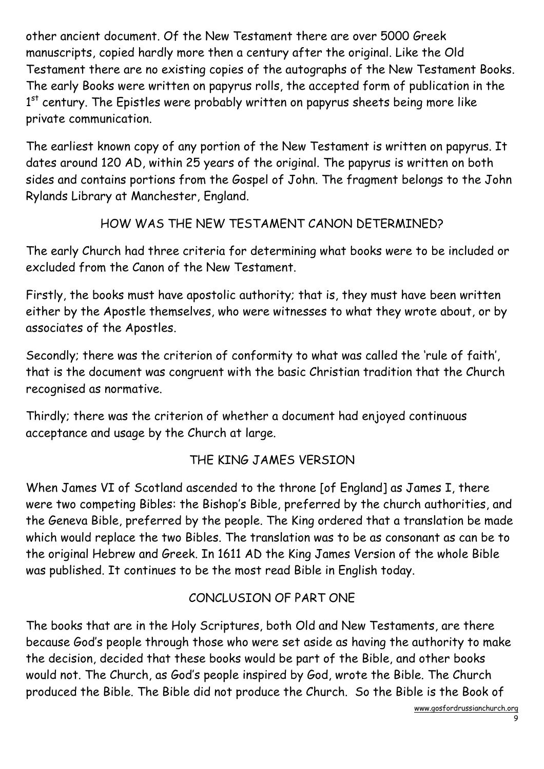other ancient document. Of the New Testament there are over 5000 Greek manuscripts, copied hardly more then a century after the original. Like the Old Testament there are no existing copies of the autographs of the New Testament Books. The early Books were written on papyrus rolls, the accepted form of publication in the 1<sup>st</sup> century. The Epistles were probably written on papyrus sheets being more like private communication.

The earliest known copy of any portion of the New Testament is written on papyrus. It dates around 120 AD, within 25 years of the original. The papyrus is written on both sides and contains portions from the Gospel of John. The fragment belongs to the John Rylands Library at Manchester, England.

#### HOW WAS THE NEW TESTAMENT CANON DETERMINED?

The early Church had three criteria for determining what books were to be included or excluded from the Canon of the New Testament.

Firstly, the books must have apostolic authority; that is, they must have been written either by the Apostle themselves, who were witnesses to what they wrote about, or by associates of the Apostles.

Secondly; there was the criterion of conformity to what was called the 'rule of faith', that is the document was congruent with the basic Christian tradition that the Church recognised as normative.

Thirdly; there was the criterion of whether a document had enjoyed continuous acceptance and usage by the Church at large.

# THE KING JAMES VERSION

When James VI of Scotland ascended to the throne [of England] as James I, there were two competing Bibles: the Bishop's Bible, preferred by the church authorities, and the Geneva Bible, preferred by the people. The King ordered that a translation be made which would replace the two Bibles. The translation was to be as consonant as can be to the original Hebrew and Greek. In 1611 AD the King James Version of the whole Bible was published. It continues to be the most read Bible in English today.

# CONCLUSION OF PART ONE

The books that are in the Holy Scriptures, both Old and New Testaments, are there because God's people through those who were set aside as having the authority to make the decision, decided that these books would be part of the Bible, and other books would not. The Church, as God's people inspired by God, wrote the Bible. The Church produced the Bible. The Bible did not produce the Church. So the Bible is the Book of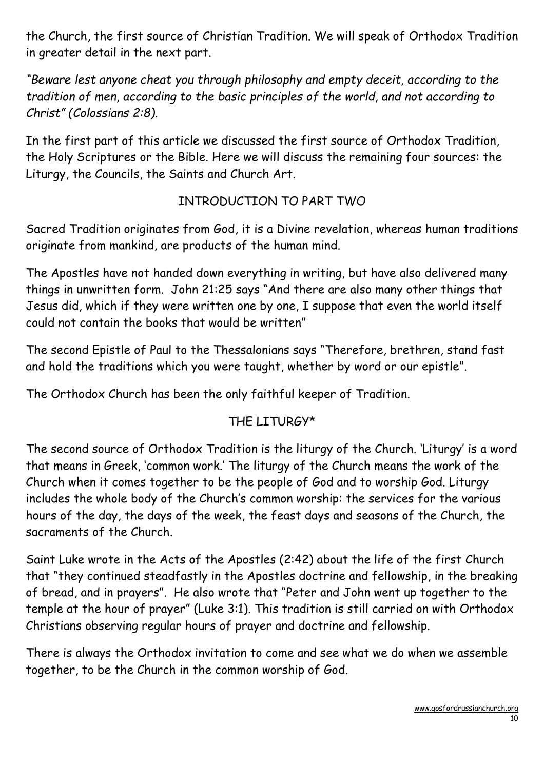the Church, the first source of Christian Tradition. We will speak of Orthodox Tradition in greater detail in the next part.

"Beware lest anyone cheat you through philosophy and empty deceit, according to the tradition of men, according to the basic principles of the world, and not according to Christ" (Colossians 2:8).

In the first part of this article we discussed the first source of Orthodox Tradition, the Holy Scriptures or the Bible. Here we will discuss the remaining four sources: the Liturgy, the Councils, the Saints and Church Art.

# INTRODUCTION TO PART TWO

Sacred Tradition originates from God, it is a Divine revelation, whereas human traditions originate from mankind, are products of the human mind.

The Apostles have not handed down everything in writing, but have also delivered many things in unwritten form. John 21:25 says "And there are also many other things that Jesus did, which if they were written one by one, I suppose that even the world itself could not contain the books that would be written"

The second Epistle of Paul to the Thessalonians says "Therefore, brethren, stand fast and hold the traditions which you were taught, whether by word or our epistle".

The Orthodox Church has been the only faithful keeper of Tradition.

# THE LITURGY\*

The second source of Orthodox Tradition is the liturgy of the Church. 'Liturgy' is a word that means in Greek, 'common work.' The liturgy of the Church means the work of the Church when it comes together to be the people of God and to worship God. Liturgy includes the whole body of the Church's common worship: the services for the various hours of the day, the days of the week, the feast days and seasons of the Church, the sacraments of the Church.

Saint Luke wrote in the Acts of the Apostles (2:42) about the life of the first Church that "they continued steadfastly in the Apostles doctrine and fellowship, in the breaking of bread, and in prayers". He also wrote that "Peter and John went up together to the temple at the hour of prayer" (Luke 3:1). This tradition is still carried on with Orthodox Christians observing regular hours of prayer and doctrine and fellowship.

There is always the Orthodox invitation to come and see what we do when we assemble together, to be the Church in the common worship of God.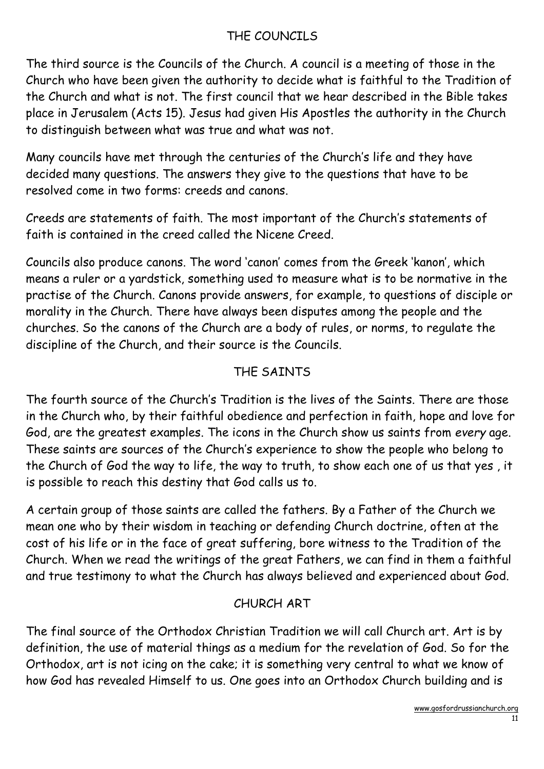# THE COUNCILS

The third source is the Councils of the Church. A council is a meeting of those in the Church who have been given the authority to decide what is faithful to the Tradition of the Church and what is not. The first council that we hear described in the Bible takes place in Jerusalem (Acts 15). Jesus had given His Apostles the authority in the Church to distinguish between what was true and what was not.

Many councils have met through the centuries of the Church's life and they have decided many questions. The answers they give to the questions that have to be resolved come in two forms: creeds and canons.

Creeds are statements of faith. The most important of the Church's statements of faith is contained in the creed called the Nicene Creed.

Councils also produce canons. The word 'canon' comes from the Greek 'kanon', which means a ruler or a yardstick, something used to measure what is to be normative in the practise of the Church. Canons provide answers, for example, to questions of disciple or morality in the Church. There have always been disputes among the people and the churches. So the canons of the Church are a body of rules, or norms, to regulate the discipline of the Church, and their source is the Councils.

# THE SAINTS

The fourth source of the Church's Tradition is the lives of the Saints. There are those in the Church who, by their faithful obedience and perfection in faith, hope and love for God, are the greatest examples. The icons in the Church show us saints from every age. These saints are sources of the Church's experience to show the people who belong to the Church of God the way to life, the way to truth, to show each one of us that yes , it is possible to reach this destiny that God calls us to.

A certain group of those saints are called the fathers. By a Father of the Church we mean one who by their wisdom in teaching or defending Church doctrine, often at the cost of his life or in the face of great suffering, bore witness to the Tradition of the Church. When we read the writings of the great Fathers, we can find in them a faithful and true testimony to what the Church has always believed and experienced about God.

# CHURCH ART

The final source of the Orthodox Christian Tradition we will call Church art. Art is by definition, the use of material things as a medium for the revelation of God. So for the Orthodox, art is not icing on the cake; it is something very central to what we know of how God has revealed Himself to us. One goes into an Orthodox Church building and is